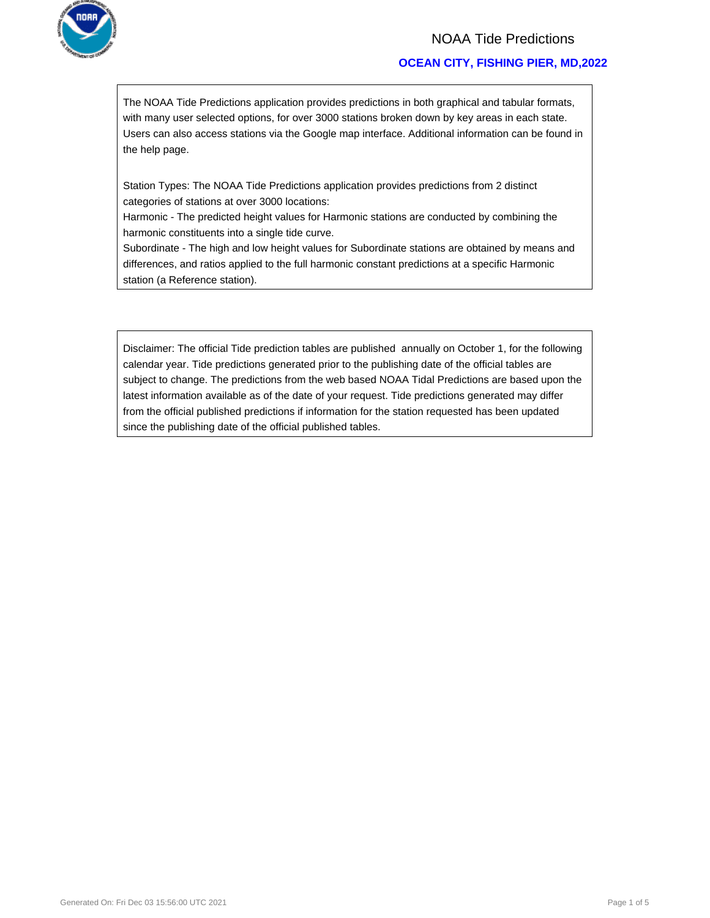

## NOAA Tide Predictions

## **OCEAN CITY, FISHING PIER, MD,2022**

The NOAA Tide Predictions application provides predictions in both graphical and tabular formats, with many user selected options, for over 3000 stations broken down by key areas in each state. Users can also access stations via the Google map interface. Additional information can be found in the help page.

Station Types: The NOAA Tide Predictions application provides predictions from 2 distinct categories of stations at over 3000 locations:

Harmonic - The predicted height values for Harmonic stations are conducted by combining the harmonic constituents into a single tide curve.

Subordinate - The high and low height values for Subordinate stations are obtained by means and differences, and ratios applied to the full harmonic constant predictions at a specific Harmonic station (a Reference station).

Disclaimer: The official Tide prediction tables are published annually on October 1, for the following calendar year. Tide predictions generated prior to the publishing date of the official tables are subject to change. The predictions from the web based NOAA Tidal Predictions are based upon the latest information available as of the date of your request. Tide predictions generated may differ from the official published predictions if information for the station requested has been updated since the publishing date of the official published tables.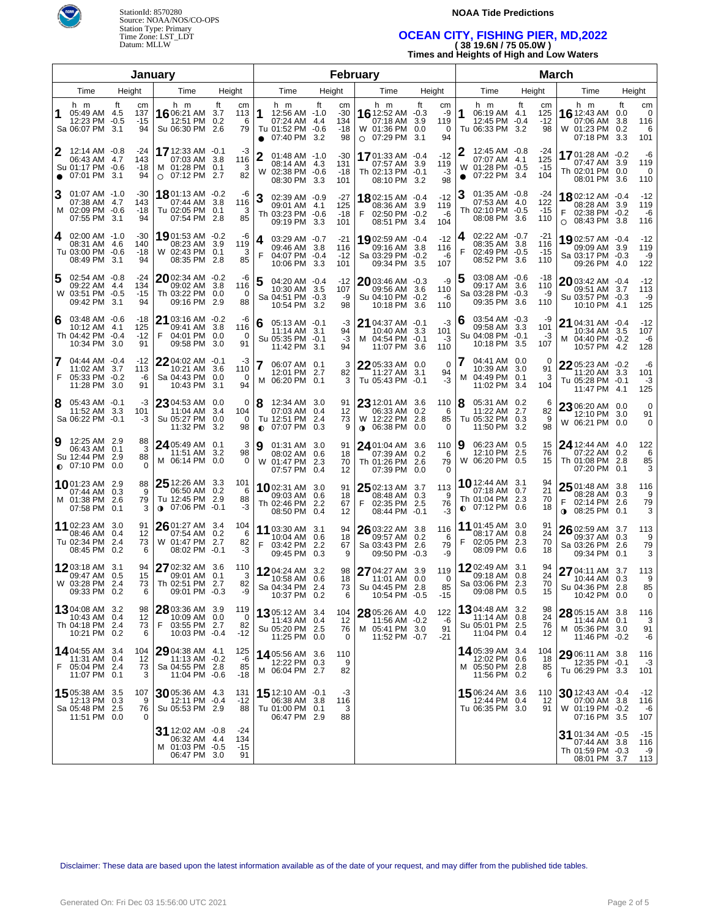

Source: NOAA/NOS/CO-OPS Station Type: Primary

### **NOAA Tide Predictions**

# Time Zone: LST\_LDT **OCEAN CITY, FISHING PIER, MD,2022**  Datum: MLLW **( 38 19.6N / 75 05.0W )**

**Times and Heights of High and Low Waters** 

|                |                                                                           |                                           | January                                                                      |                                          | February       |                                                                           |    |                                   |                                                                         |                                         |                     | <b>March</b>                                                              |               |                            |                                                                                  |                  |                            |
|----------------|---------------------------------------------------------------------------|-------------------------------------------|------------------------------------------------------------------------------|------------------------------------------|----------------|---------------------------------------------------------------------------|----|-----------------------------------|-------------------------------------------------------------------------|-----------------------------------------|---------------------|---------------------------------------------------------------------------|---------------|----------------------------|----------------------------------------------------------------------------------|------------------|----------------------------|
|                | Time                                                                      | Height                                    | Time                                                                         | Height                                   |                | Time                                                                      |    | Height                            | Time                                                                    | Height                                  |                     | Time                                                                      | Height        |                            | Time                                                                             | Height           |                            |
| 1              | h m<br>05:49 AM 4.5<br>12:23 PM -0.5<br>Sa 06:07 PM 3.1                   | ft<br>cm<br>137<br>$-15$<br>94            | h m<br>16 06:21 AM 3.7<br>12:51 PM 0.2<br>Su 06:30 PM 2.6                    | ft<br>cm<br>113<br>-6<br>79              | 1<br>$\bullet$ | h m<br>12:56 AM -1.0<br>07:24 AM 4.4<br>Tu 01:52 PM -0.6<br>07:40 PM 3.2  | ft | cm<br>$-30$<br>134<br>$-18$<br>98 | h m<br>16 12:52 AM -0.3<br>07:18 AM<br>W 01:36 PM 0.0<br>○ 07:29 PM 3.1 | ft<br>cm<br>-9<br>3.9<br>119<br>0<br>94 | 1                   | h m<br>06:19 AM 4.1<br>12:45 PM -0.4<br>Tu 06:33 PM 3.2                   | ft            | cm<br>125<br>$-12$<br>98   | h m<br><b>16</b> 12:43 AM<br>07:06 AM<br>W 01:23 PM 0.2<br>07:18 PM 3.3          | ft<br>0.0<br>3.8 | cm<br>0<br>116<br>6<br>101 |
| 2<br>$\bullet$ | 12:14 AM -0.8<br>06:43 AM 4.7<br>Su 01:17 PM -0.6<br>07:01 PM             | -24<br>143<br>$-18$<br>94<br>3.1          | 17 12:33 AM -0.1<br>07:03 AM 3.8<br>M 01:28 PM 0.1<br>$\circ$ 07:12 PM 2.7   | -3<br>116<br>3<br>82                     | W              | 01:48 AM -1.0<br>08:14 AM 4.3<br>02:38 PM -0.6<br>08:30 PM 3.3            |    | $-30$<br>131<br>$-18$<br>101      | 1701:33 AM -0.4<br>07:57 AM 3.9<br>Th 02:13 PM -0.1<br>08:10 PM 3.2     | $-12$<br>119<br>-3<br>98                | 2<br>W<br>$\bullet$ | 12:45 AM -0.8<br>07:07 AM 4.1<br>01:28 PM -0.5<br>07:22 PM 3.4            |               | -24<br>125<br>$-15$<br>104 | 1701:28 AM -0.2<br>07:47 AM 3.9<br>Th 02:01 PM 0.0<br>08:01 PM 3.6               |                  | -6<br>119<br>0<br>110      |
| 3              | 01:07 AM -1.0<br>07:38 AM 4.7<br>M 02:09 PM -0.6<br>07:55 PM 3.1          | -30<br>143<br>$-18$<br>94                 | <b>18</b> 01:13 AM $-0.2$<br>07:44 AM 3.8<br>Tu 02:05 PM 0.1<br>07:54 PM 2.8 | -6<br>116<br>3<br>85                     | 3              | 02:39 AM -0.9<br>09:01 AM 4.1<br>Th 03:23 PM -0.6<br>09:19 PM 3.3         |    | $-27$<br>125<br>$-18$<br>101      | 1802:15 AM -0.4<br>08:36 AM 3.9<br>F<br>02:50 PM -0.2<br>08:51 PM 3.4   | $-12$<br>119<br>-6<br>104               | З                   | $01:35$ AM $-0.8$<br>07:53 AM 4.0<br>Th 02:10 PM -0.5<br>08:08 PM 3.6     |               | -24<br>122<br>$-15$<br>110 | 1802:12 AM -0.4<br>08:28 AM 3.9<br>F<br>02:38 PM -0.2<br>$\circ$<br>08:43 PM 3.8 |                  | $-12$<br>119<br>-6<br>116  |
| 4              | 02:00 AM -1.0<br>08:31 AM 4.6<br>Tu 03:00 PM -0.6<br>08:49 PM 3.1         | -30<br>140<br>-18<br>94                   | 1901:53 AM -0.2<br>08:23 AM 3.9<br>W 02:43 PM 0.1<br>08:35 PM 2.8            | -6<br>119<br>3<br>85                     | 4<br>F         | 03:29 AM -0.7<br>09:46 AM 3.8<br>04:07 PM -0.4<br>10:06 PM 3.3            |    | $-21$<br>116<br>$-12$<br>101      | 1902:59 AM -0.4<br>09:16 AM<br>Sa 03:29 PM -0.2<br>09:34 PM 3.5         | $-12$<br>3.8<br>116<br>-6<br>107        | 4                   | 02:22 AM -0.7<br>08:35 AM 3.8<br>02:49 PM -0.5<br>08:52 PM 3.6            |               | -21<br>116<br>$-15$<br>110 | $1902:57$ AM $-0.4$<br>09:09 AM 3.9<br>Sa 03:17 PM -0.3<br>09:26 PM 4.0          |                  | $-12$<br>119<br>-9<br>122  |
| 5              | 02:54 AM -0.8<br>09:22 AM 4.4<br>W 03:51 PM -0.5<br>09:42 PM 3.1          | -24<br>134<br>$-15$<br>94                 | 2002:34 AM -0.2<br>09:02 AM 3.8<br>Th 03:22 PM 0.0<br>09:16 PM 2.9           | -6<br>116<br>- 0<br>88                   | 5              | 04:20 AM -0.4<br>10:30 AM 3.5<br>Sa 04:51 PM -0.3<br>10:54 PM 3.2         |    | -12<br>107<br>-9<br>98            | 2003:46 AM -0.3<br>09:56 AM<br>Su 04:10 PM -0.2<br>10:18 PM 3.6         | -9<br>3.6<br>110<br>-6<br>110           | 5                   | 03:08 AM -0.6<br>09:17 AM 3.6<br>Sa 03:28 PM<br>09:35 PM                  | $-0.3$<br>3.6 | -18<br>110<br>-9<br>110    | $2003:42$ AM $-0.4$<br>09:51 AM 3.7<br>Su 03:57 PM -0.3<br>10:10 PM 4.1          |                  | $-12$<br>113<br>-9<br>125  |
| 6              | 03:48 AM -0.6<br>10:12 AM 4.1<br>Th 04:42 PM -0.4<br>10:34 PM 3.0         | -18<br>125<br>$-12$<br>91                 | $21$ 03:16 AM $-0.2$<br>09:41 AM 3.8<br>04:01 PM 0.0<br>F<br>09:58 PM        | -6<br>116<br>- 0<br>3.0<br>91            | 6              | $05:13$ AM $-0.1$<br>11:14 AM 3.1<br>Su 05:35 PM -0.1<br>11:42 PM 3.1     |    | -3<br>94<br>-3<br>94              | 21 04:37 AM -0.1<br>10:40 AM 3.3<br>M 04:54 PM -0.1<br>11:07 PM 3.6     | -3<br>101<br>$-3$<br>110                | 6                   | 03:54 AM -0.3<br>09:58 AM 3.3<br>Su 04:08 PM<br>10:18 PM 3.5              | $-0.1$        | -9<br>101<br>-3<br>107     | $2104:31$ AM $-0.4$<br>10:34 AM 3.5<br>M 04:40 PM -0.2<br>10:57 PM 4.2           |                  | $-12$<br>107<br>-6<br>128  |
| 7<br>F         | 04:44 AM -0.4<br>11:02 AM<br>05:33 PM -0.2<br>11:28 PM 3.0                | -12<br>3.7<br>113<br>-6<br>91             | 22 04:02 AM -0.1<br>10:21 AM 3.6<br>Sa 04:43 PM 0.0<br>10:43 PM              | -3<br>110<br>- 0<br>94<br>-3.1           |                | 06:07 AM 0.1<br>12:01 PM 2.7<br>M 06:20 PM 0.1                            |    | 3<br>82<br>3                      | 22 05:33 AM 0.0<br>11:27 AM 3.1<br>Tu 05:43 PM -0.1                     | $\Omega$<br>94<br>-3                    | M                   | 04:41 AM 0.0<br>10:39 AM 3.0<br>04:49 PM<br>11:02 PM                      | 0.1<br>3.4    | 0<br>91<br>3<br>104        | 22 05:23 AM -0.2<br>11:20 AM 3.3<br>Tu 05:28 PM -0.1<br>11:47 PM 4.1             |                  | -6<br>101<br>-3<br>125     |
| 8              | 05:43 AM -0.1<br>11:52 AM<br>Sa 06:22 PM -0.1                             | -3<br>3.3<br>101<br>-3                    | 23 04:53 AM 0.0<br>11:04 AM<br>Su 05:27 PM 0.0<br>11:32 PM                   | $\Omega$<br>3.4<br>104<br>0<br>3.2<br>98 | 8<br>$\bullet$ | 12:34 AM 3.0<br>07:03 AM 0.4<br>Tu 12:51 PM 2.4<br>07:07 PM 0.3           |    | 91<br>12<br>73<br>9               | 23 12:01 AM 3.6<br>06:33 AM 0.2<br>W 12:22 PM 2.8<br>$0.06:38$ PM 0.0   | 110<br>6<br>85<br>0                     | 8                   | 05:31 AM 0.2<br>11:22 AM 2.7<br>Tu 05:32 PM 0.3<br>11:50 PM 3.2           |               | 6<br>82<br>9<br>98         | 23 06:20 AM 0.0<br>12:10 PM 3.0<br>W 06:21 PM 0.0                                |                  | 0<br>91<br>0               |
| 9              | 12:25 AM 2.9<br>06:43 AM 0.1<br>Su 12:44 PM 2.9<br>$\bullet$ 07:10 PM 0.0 | 88<br>3<br>88<br>$\Omega$                 | 24 05:49 AM 0.1<br>11:51 AM 3.2<br>M 06:14 PM 0.0                            | 3<br>98<br>0                             | 9<br>W         | 01:31 AM 3.0<br>08:02 AM 0.6<br>01:47 PM 2.3<br>07:57 PM 0.4              |    | 91<br>18<br>70<br>12              | 24 01:04 AM 3.6<br>07:39 AM 0.2<br>Th 01:26 PM 2.6<br>07:39 PM 0.0      | 110<br>-6<br>79<br>$\Omega$             | 9                   | 06:23 AM 0.5<br>12:10 PM 2.5<br>W 06:20 PM 0.5                            |               | 15<br>76<br>15             | 24 12:44 AM 4.0<br>07:22 AM 0.2<br>Th 01:08 PM 2.8<br>07:20 PM 0.1               |                  | 122<br>6<br>85<br>3        |
|                | 1001:23 AM 2.9<br>07:44 AM 0.3<br>M 01:38 PM<br>07:58 PM                  | 88<br>9<br>79<br>2.6<br>0.1<br>3          | 25 12:26 AM 3.3<br>06:50 AM 0.2<br>Tu 12:45 PM 2.9<br>$0$ 07:06 PM -0.1      | 101<br>-6<br>88<br>-3                    |                | 1002:31 AM 3.0<br>09:03 AM 0.6<br>Th 02:46 PM 2.2<br>08:50 PM 0.4         |    | 91<br>18<br>67<br>12              | 25 02:13 AM 3.7<br>08:48 AM 0.3<br>F<br>02:35 PM 2.5<br>08:44 PM -0.1   | 113<br>-9<br>76<br>-3                   | $\bullet$           | 10 12:44 AM 3.1<br>07:18 AM 0.7<br>Th 01:04 PM 2.3<br>07:12 PM 0.6        |               | 94<br>21<br>70<br>18       | 2501:48 AM 3.8<br>08:28 AM 0.3<br>02:14 PM 2.6<br>08:25 PM 0.1<br>$\bullet$      |                  | 116<br>9<br>79<br>3        |
|                | 11 02:23 AM 3.0<br>08:46 AM<br>Tu 02:34 PM<br>08:45 PM                    | 91<br>12<br>0.4<br>-2.4<br>73<br>0.2<br>6 | 26 01:27 AM 3.4<br>07:54 AM 0.2<br>W 01:47 PM 2.7<br>08:02 PM -0.1           | 104<br>- 6<br>82<br>-3                   | F              | 11 03:30 AM 3.1<br>10:04 AM 0.6<br>03:42 PM 2.2<br>09:45 PM 0.3           |    | 94<br>18<br>67<br>9               | 26 03:22 AM 3.8<br>09:57 AM 0.2<br>Sa 03:43 PM 2.6<br>09:50 PM -0.3     | 116<br>-6<br>79<br>-9                   | F                   | 11 01:45 AM 3.0<br>08:17 AM<br>02:05 PM 2.3<br>08:09 PM 0.6               | 0.8           | 91<br>24<br>70<br>18       | 26 02:59 AM 3.7<br>09:37 AM 0.3<br>Sa 03:26 PM 2.6<br>09:34 PM 0.1               |                  | 113<br>9<br>79<br>3        |
|                | 1203:18 AM 3.1<br>09:47 AM 0.5<br>W 03:28 PM 2.4<br>09:33 PM 0.2          | 94<br>15<br>73  <br>6                     | 27 02:32 AM 3.6<br>09:01 AM 0.1<br>Th 02:51 PM 2.7<br>09:01 PM -0.3          | 110<br>3<br>82<br>-9                     |                | 1204:24 AM 3.2<br>10:58 AM 0.6<br>Sa 04:34 PM 2.4<br>10:37 PM 0.2         |    | 98<br>18<br>73<br>6               | 27 04:27 AM 3.9<br>11:01 AM 0.0<br>Su 04:45 PM 2.8<br>10:54 PM -0.5     | 119<br>0<br>85<br>-15                   |                     | 1202:49 AM 3.1<br>09:18 AM<br>Sa 03:06 PM 2.3<br>09:08 PM 0.5             | 0.8           | 94<br>24<br>70<br>15       | 27 04:11 AM 3.7<br>10:44 AM 0.3<br>Su 04:36 PM 2.8<br>10:42 PM 0.0               |                  | 113<br>9<br>85<br>0        |
|                | <b>13</b> 04:08 AM 3.2<br>10:43 AM 0.4<br>Th 04:18 PM 2.4<br>10:21 PM 0.2 | 98<br>12<br>73<br>6                       | 28 03:36 AM 3.9<br>10:09 AM 0.0<br>F.<br>03:55 PM 2.7<br>10:03 PM -0.4       | 119<br>- 0<br>82<br>$-12$                |                | <b>13</b> 05:12 AM 3.4<br>11:43 AM 0.4<br>Su 05:20 PM 2.5<br>11:25 PM 0.0 |    | 104<br>12<br>76<br>0              | 28 05:26 AM 4.0<br>11:56 AM -0.2<br>M 05:41 PM 3.0<br>11:52 PM -0.7     | 122<br>-6<br>91<br>$-21$                |                     | <b>13</b> 04:48 AM 3.2<br>11:14 AM 0.8<br>Su 05:01 PM 2.5<br>11:04 PM 0.4 |               | 98<br>24<br>76<br>12       | 28 05:15 AM 3.8<br>$11:44$ AM $\,$ 0.1<br>M 05:36 PM 3.0<br>11:46 PM -0.2        |                  | 116<br>3<br>91<br>-6       |
| F.             | <b>14</b> 04:55 AM 3.4<br>11:31 AM 0.4<br>05:04 PM 2.4<br>11:07 PM 0.1    | 104<br>12<br>73<br>3                      | 29 04:38 AM 4.1<br>11:13 AM -0.2<br>Sa 04:55 PM 2.8<br>11:04 PM -0.6         | 125<br>-6<br>85<br>$-18$                 |                | 14 05:56 AM 3.6<br>12:22 PM 0.3<br>M 06:04 PM 2.7                         |    | 110<br>9<br>82                    |                                                                         |                                         |                     | 14 05:39 AM 3.4<br>12:02 PM 0.6<br>M 05:50 PM 2.8<br>11:56 PM 0.2         |               | 104<br>18<br>85<br>6       | 29 06:11 AM 3.8<br>$12:35$ PM $-0.1$<br>Tu 06:29 PM 3.3                          |                  | 116<br>-3<br>101           |
|                | 15 05:38 AM 3.5<br>12:13 PM 0.3<br>Sa 05:48 PM 2.5<br>11:51 PM 0.0        | 107<br>9<br>76                            | 30 05:36 AM 4.3<br>12:11 PM -0.4<br>Su 05:53 PM 2.9                          | 131<br>$-12$<br>88                       |                | 15 12:10 AM -0.1<br>06:38 AM 3.8<br>Tu 01:00 PM 0.1<br>06:47 PM 2.9       |    | -3<br>116<br>3<br>88              |                                                                         |                                         |                     | 1506:24 AM 3.6<br>12:44 PM 0.4<br>Tu 06:35 PM 3.0                         |               | 110<br>12<br>91            | $3012:43$ AM $-0.4$<br>07:00 AM 3.8<br>W 01:19 PM -0.2<br>07:16 PM 3.5           |                  | -12<br>116<br>-6<br>107    |
|                |                                                                           |                                           | 31 12:02 AM -0.8<br>06:32 AM 4.4<br>M 01:03 PM -0.5<br>06:47 PM 3.0          | -24<br>134<br>$-15$<br>91                |                |                                                                           |    |                                   |                                                                         |                                         |                     |                                                                           |               |                            | 31 01:34 AM $-0.5$<br>07:44 AM 3.8<br>Th 01:59 PM -0.3<br>08:01 PM 3.7           |                  | -15<br>116<br>-9<br>113    |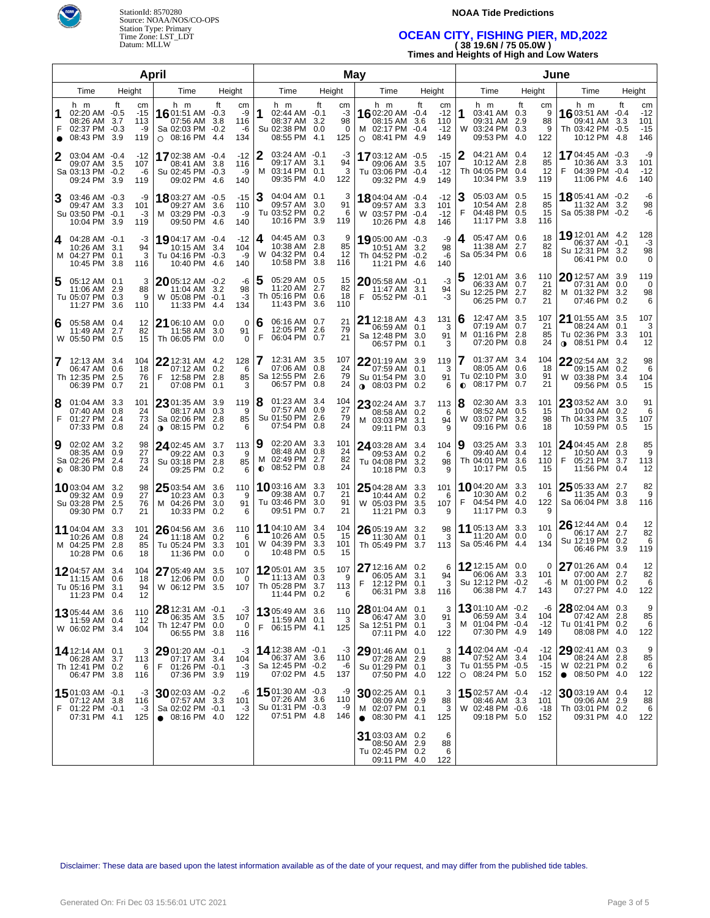

StationId: 8570280 **NOAA Tide Predictions**  Source: NOAA/NOS/CO-OPS Station Type: Primary

|                |                                                           | Datum: MLLW                                                             | Station Type: Primary<br>Time Zone: LST LDT                                  |                                                   | <b>OCEAN CITY, FISHING PIER, MD,2022</b><br>38 19.6N / 75 05.0W)<br>Times and Heights of High and Low Waters |                                                                   |                                   |                                   |                                                                                  |                                                 |        |                                                           |                                                       |                                                                              |                                                 |  |  |  |
|----------------|-----------------------------------------------------------|-------------------------------------------------------------------------|------------------------------------------------------------------------------|---------------------------------------------------|--------------------------------------------------------------------------------------------------------------|-------------------------------------------------------------------|-----------------------------------|-----------------------------------|----------------------------------------------------------------------------------|-------------------------------------------------|--------|-----------------------------------------------------------|-------------------------------------------------------|------------------------------------------------------------------------------|-------------------------------------------------|--|--|--|
|                |                                                           |                                                                         | April                                                                        |                                                   |                                                                                                              |                                                                   |                                   | May                               |                                                                                  |                                                 | June   |                                                           |                                                       |                                                                              |                                                 |  |  |  |
| Time<br>Height |                                                           | Time                                                                    | Height                                                                       |                                                   | Time                                                                                                         | Height                                                            |                                   | Time                              | Height                                                                           |                                                 | Time   | Height                                                    | Time                                                  | Height                                                                       |                                                 |  |  |  |
| F<br>$\bullet$ | h m<br>02:20 AM<br>08:26 AM<br>02:37 PM<br>08:43 PM       | ft<br>cm<br>$-0.5$<br>$-15$<br>3.7<br>113<br>$-0.3$<br>-9<br>3.9<br>119 | h m<br>16 01:51 AM -0.3<br>07:56 AM<br>Sa 02:03 PM -0.2<br>$\circ$ 08:16 PM  | ft<br>cm<br>-9<br>116<br>3.8<br>-6<br>134<br>-4.4 | 1                                                                                                            | h m<br>02:44 AM<br>08:37 AM<br>Su 02:38 PM<br>08:55 PM            | ft<br>$-0.1$<br>3.2<br>0.0<br>4.1 | сm<br>-3<br>98<br>$\Omega$<br>125 | h m<br>1602:20 AM -0.4<br>08:15 AM<br>M 02:17 PM -0.4<br>08:41 PM 4.9<br>$\circ$ | ft<br>cm<br>$-12$<br>110<br>3.6<br>$-12$<br>149 | 1      | h m<br>03:41 AM 0.3<br>09:31 AM<br>W 03:24 PM<br>09:53 PM | ft<br>сm<br>-9<br>88<br>2.9<br>0.3<br>9<br>4.0<br>122 | h m<br>16 03:51 AM -0.4<br>09:41 AM<br>Th 03:42 PM -0.5<br>10:12 PM 4.8      | ft<br>cm<br>$-12$<br>3.3<br>101<br>$-15$<br>146 |  |  |  |
| 2              | 03:04 AM<br>09:07 AM<br>Sa 03:13 PM<br>09:24 PM           | $-0.4$<br>$-12$<br>3.5<br>107<br>$-0.2$<br>-6<br>3.9<br>119             | 1702:38 AM -0.4<br>08:41 AM 3.8<br>Su 02:45 PM -0.3<br>09:02 PM 4.6          | $-12$<br>116<br>-9<br>140                         | м                                                                                                            | 03:24 AM<br>09:17 AM<br>03:14 PM<br>09:35 PM                      | $-0.1$<br>3.1<br>0.1<br>4.0       | -3<br>94<br>3<br>122              | 1703:12 AM -0.5<br>09:06 AM 3.5<br>Tu 03:06 PM -0.4<br>09:32 PM 4.9              | $-15$<br>107<br>$-12$<br>149                    |        | 04:21 AM<br>10:12 AM<br>Th 04:05 PM<br>10:34 PM           | 0.4<br>12<br>2.8<br>85<br>12<br>0.4<br>3.9<br>119     | 17 04:45 AM -0.3<br>10:36 AM<br>F<br>04:39 PM -0.4<br>11:06 PM 4.6           | -9<br>101<br>3.3<br>$-12$<br>140                |  |  |  |
| 3              | 03:46 AM<br>09:47 AM<br>Su 03:50 PM<br>10:04 PM           | $-0.3$<br>-9<br>101<br>3.3<br>$-0.1$<br>-3<br>3.9<br>119                | 1803:27 AM -0.5<br>09:27 AM 3.6<br>M 03:29 PM -0.3<br>09:50 PM 4.6           | $-15$<br>110<br>-9<br>140                         | 3                                                                                                            | 04:04 AM<br>09:57 AM<br>Tu 03:52 PM<br>10:16 PM 3.9               | 0.1<br>3.0<br>0.2                 | 3<br>91<br>6<br>119               | <b>18</b> 04:04 AM -0.4<br>09:57 AM 3.3<br>W 03:57 PM -0.4<br>10:26 PM 4.8       | $-12$<br>101<br>$-12$<br>146                    | 3<br>F | 05:03 AM<br>10:54 AM<br>04:48 PM<br>11:17 PM 3.8          | 0.5<br>15<br>2.8<br>85<br>15<br>0.5<br>116            | 1805:41 AM -0.2<br>11:32 AM 3.2<br>Sa 05:38 PM -0.2                          | -6<br>98<br>-6                                  |  |  |  |
| 4              | 04:28 AM<br>10:26 AM<br>M 04:27 PM<br>10:45 PM            | $-0.1$<br>-3<br>3.1<br>94<br>3<br>0.1<br>3.8<br>116                     | 19 04:17 AM -0.4<br>10:15 AM 3.4<br>Tu 04:16 PM -0.3<br>10:40 PM 4.6         | $-12$<br>104<br>-9<br>140                         | 4                                                                                                            | 04:45 AM<br>10:38 AM<br>W 04:32 PM<br>10:58 PM                    | 0.3<br>2.8<br>0.4<br>3.8          | 9<br>85<br>12<br>116              | 19 05:00 AM -0.3<br>10:51 AM 3.2<br>Th 04:52 PM -0.2<br>11:21 PM 4.6             | -9<br>98<br>-6<br>140                           | 4      | 05:47 AM<br>11:38 AM<br>Sa 05:34 PM 0.6                   | 18<br>0.6<br>2.7<br>82<br>18                          | 19 12:01 AM 4.2<br>06:37 AM -0.1<br>Su 12:31 PM 3.2<br>06:41 PM 0.0          | 128<br>-3<br>98<br>$\mathbf 0$                  |  |  |  |
| 5              | 05:12 AM<br>11:06 AM<br>Tu 05:07 PM<br>11:27 PM           | 0.1<br>3<br>2.9<br>88<br>9<br>0.3<br>110<br>3.6                         | 2005:12 AM -0.2<br>11:04 AM 3.2<br>W 05:08 PM -0.1<br>11:33 PM 4.4           | -6<br>98<br>$-3$<br>134                           | 5                                                                                                            | 05:29 AM<br>11:20 AM<br>Th 05:16 PM<br>11:43 PM                   | 0.5<br>2.7<br>0.6<br>3.6          | 15<br>82<br>18<br>110             | 2005:58 AM -0.1<br>11:47 AM 3.1<br>F<br>05:52 PM -0.1                            | -3<br>94<br>-3                                  | 5      | 12:01 AM<br>06:33 AM<br>Su 12:25 PM<br>06:25 PM 0.7       | 3.6<br>110<br>21<br>0.7<br>2.7<br>82<br>21            | 20 12:57 AM 3.9<br>07:31 AM 0.0<br>M 01:32 PM 3.2<br>07:46 PM 0.2            | 119<br>0<br>98<br>6                             |  |  |  |
| 6              | 05:58 AM<br>11:49 AM<br>W 05:50 PM                        | 0.4<br>12<br>82<br>2.7<br>0.5<br>15                                     | 21 06:10 AM 0.0<br>11:58 AM<br>Th 06:05 PM 0.0                               | $\Omega$<br>91<br>- 3.0<br>$\Omega$               | 6<br>F                                                                                                       | 06:16 AM<br>12:05 PM<br>06:04 PM                                  | 0.7<br>2.6<br>0.7                 | 21<br>79<br>21                    | 21 12:18 AM 4.3<br>06:59 AM 0.1<br>Sa 12:48 PM 3.0<br>06:57 PM 0.1               | 131<br>3<br>91<br>3                             | 6      | 12:47 AM<br>07:19 AM<br>M 01:16 PM<br>07:20 PM            | 3.5<br>107<br>21<br>0.7<br>2.8<br>85<br>24<br>0.8     | 21 01:55 AM 3.5<br>08:24 AM 0.1<br>Tu 02:36 PM 3.3<br>$\bullet$ 08:51 PM 0.4 | 107<br>3<br>101<br>12                           |  |  |  |
| 7              | 12:13 AM<br>06:47 AM<br>Th 12:35 PM<br>06:39 PM           | 104<br>3.4<br>0.6<br>18<br>2.5<br>76<br>0.7<br>21                       | 22 12:31 AM 4.2<br>07:12 AM 0.2<br>F<br>12:58 PM 2.8<br>07:08 PM 0.1         | 128<br>6<br>85<br>3                               |                                                                                                              | 12:31 AM<br>07:06 AM<br>Sa 12:55 PM<br>06:57 PM                   | 3.5<br>0.8<br>2.6<br>0.8          | 107<br>24<br>79<br>24             | 2201:19 AM 3.9<br>07:59 AM 0.1<br>Su 01:54 PM 3.0<br>$\bullet$ 08:03 PM 0.2      | 119<br>3<br>91<br>6                             |        | 01:37 AM<br>08:05 AM<br>Tu 02:10 PM<br>$\bullet$ 08:17 PM | 104<br>3.4<br>0.6<br>18<br>3.0<br>91<br>0.7<br>21     | 22 02:54 AM 3.2<br>09:15 AM 0.2<br>W 03:38 PM 3.4<br>09:56 PM 0.5            | 98<br>6<br>104<br>15                            |  |  |  |
| 8<br>F         | 01:04 AM<br>07:40 AM<br>01:27 PM<br>07:33 PM              | 3.3<br>101<br>24<br>0.8<br>2.4<br>73<br>0.8<br>24                       | 23 01:35 AM 3.9<br>08:17 AM 0.3<br>Sa 02:06 PM 2.8<br>$\bullet$ 08:15 PM 0.2 | 119<br>9<br>85<br>6                               | 8                                                                                                            | 01:23 AM<br>07:57 AM<br>Su 01:50 PM<br>07:54 PM 0.8               | 3.4<br>0.9<br>2.6                 | 104<br>27<br>79<br>24             | 23 02:24 AM 3.7<br>08:58 AM 0.2<br>M 03:03 PM 3.1<br>09:11 PM 0.3                | 113<br>6<br>94<br>9                             | 18     | 02:30 AM<br>08:52 AM<br>W 03:07 PM<br>09:16 PM            | 3.3<br>101<br>0.5<br>15<br>3.2<br>98<br>0.6<br>18     | 23 03:52 AM 3.0<br>10:04 AM 0.2<br>Th 04:33 PM 3.5<br>10:59 PM 0.5           | 91<br>6<br>107<br>15                            |  |  |  |
| 9              | 02:02 AM<br>08:35 AM<br>Sa 02:26 PM<br>$\bullet$ 08:30 PM | 3.2<br>98<br>27<br>0.9<br>73<br>2.4<br>24<br>0.8                        | 24 02:45 AM 3.7<br>09:22 AM 0.3<br>Su 03:18 PM 2.8<br>09:25 PM 0.2           | 113<br>9<br>85<br>6                               | 9<br>$\bullet$                                                                                               | 02:20 AM<br>08:48 AM<br>M 02:49 PM<br>08:52 PM 0.8                | 3.3<br>0.8<br>2.7                 | 101<br>24<br>82<br>24             | 24 03:28 AM 3.4<br>09:53 AM 0.2<br>Tu 04:08 PM 3.2<br>10:18 PM 0.3               | 104<br>6<br>98<br>9                             | 9      | 03:25 AM<br>09:40 AM<br>Th 04:01 PM<br>10:17 PM           | 3.3<br>101<br>0.4<br>12<br>3.6<br>110<br>15<br>0.5    | 24 04:45 AM 2.8<br>10:50 AM 0.3<br>F.<br>05:21 PM 3.7<br>11:56 PM 0.4        | 85<br>9<br>113<br>12                            |  |  |  |
|                | 1003:04 AM<br>09:32 AM<br>Su 03:28 PM<br>09:30 PM 0.7     | 3.2<br>98<br>27<br>0.9<br>2.5<br>76<br>21                               | 25 03:54 AM 3.6<br>10:23 AM<br>M 04:26 PM 3.0<br>10:33 PM 0.2                | 110<br>9<br>0.3<br>91<br>6                        |                                                                                                              | <b>10</b> 03:16 AM 3.3<br>09:38 AM<br>Tu 03:46 PM<br>09:51 PM 0.7 | 0.7<br>3.0                        | 101<br>21<br>91<br>21             | 25 04:28 AM 3.3<br>10:44 AM<br>W 05:03 PM 3.5<br>11:21 PM 0.3                    | 101<br>0.2<br>6<br>107<br>9                     | F      | 1004:20 AM 3.3<br>10:30 AM<br>04:54 PM<br>11:17 PM 0.3    | 101<br>0.2<br>6<br>4.0<br>122<br>9                    | 25 05:33 AM 2.7<br>11:35 AM 0.3<br>Sa 06:04 PM                               | 82<br>9<br>116<br>3.8                           |  |  |  |

| 9 02:02 AM 3.2<br>08:35 AM 0.9<br>Sa 02:26 PM 2.4<br>$\bullet$ 08:30 PM 0.8 | 98<br>27<br>73<br>24                  |                         | 24 02:45 AM 3.7<br>09:22 AM 0.3<br>Su 03:18 PM 2.8<br>09:25 PM 0.2         |     | 113<br>9<br>85                      | 9<br>02:20 AM<br>08:48 AM 0.8<br>M 02:49 PM 2.7<br>$\bigcirc$ 08:52 PM 0.8 | 3.3 | 101<br>24<br>82<br>24  | 24 03:28 AM 3.4<br>09:53 AM 0.2<br>Tu 04:08 PM 3.2<br>10:18 PM 0.3 | 104<br>6<br>98<br>9  | Ι9<br>03:25 AM 3.3<br>09:40 AM 0.4<br>Th 04:01 PM 3.6<br>10:17 PM 0.5        | 12<br>15               | 101 24 04:45 AM 2.8<br>10:50 AM 0.3<br>110 F 05:21 PM 3.7<br>11:56 PM 0.4         | 85<br>9<br>113<br>12 |
|-----------------------------------------------------------------------------|---------------------------------------|-------------------------|----------------------------------------------------------------------------|-----|-------------------------------------|----------------------------------------------------------------------------|-----|------------------------|--------------------------------------------------------------------|----------------------|------------------------------------------------------------------------------|------------------------|-----------------------------------------------------------------------------------|----------------------|
| 1003:04 AM 3.2<br>09:32 AM 0.9<br>Su 03:28 PM 2.5<br>09:30 PM 0.7           | 98<br>27<br>21                        | 76                      | 25 03:54 AM 3.6<br>10:23 AM 0.3<br>M 04:26 PM 3.0<br>10:33 PM 0.2          |     | 110<br>9<br>91<br>6                 | <b>10</b> 03:16 AM 3.3<br>09:38 AM 0.7<br>Tu 03:46 PM 3.0<br>09:51 PM 0.7  |     | 101<br>21<br>91<br>21  | 25 04:28 AM 3.3<br>10:44 AM 0.2<br>W 05:03 PM 3.5<br>11:21 PM 0.3  | 101<br>6<br>107<br>9 | <b>1004:20 AM 3.3</b><br>10:30 AM 0.2<br>F 04:54 PM 4.0<br>11:17 PM 0.3      | 6<br>122<br>9          | 101 25 05:33 AM 2.7<br>11:35 AM 0.3<br>Sa 06:04 PM 3.8                            | 82<br>9<br>116       |
| 11 04:04 AM 3.3<br>10:26 AM<br>M 04:25 PM<br>10:28 PM                       | 24<br>0.8<br>85<br>- 2.8<br>18<br>0.6 | 101 26 04:56 AM 3.6     | 11:18 AM 0.2<br>Tu 05:24 PM 3.3<br>11:36 PM 0.0                            |     | 6<br>101<br>$\Omega$                | 110 11 04:10 AM 3.4<br>10:26 AM<br>W 04:39 PM 3.3<br>10:48 PM 0.5          | 0.5 | 104<br>15<br>101<br>15 | 26 05:19 AM 3.2<br>11:30 AM 0.1<br>Th 05:49 PM 3.7                 | 3<br>113             | 98   11 05:13 AM 3.3<br>11:20 AM 0.0<br>Sa 05:46 PM 4.4                      | 101<br>$\Omega$<br>134 | 26 12:44 AM 0.4<br>06:17 AM 2.7<br>Su 12:19 PM 0.2<br>06:46 PM 3.9                | 12<br>82<br>6<br>119 |
| 1204:57 AM 3.4<br>11:15 AM 0.6<br>Tu 05:16 PM<br>11:23 PM 0.4               | 104<br>18<br>- 3.1<br>12              | 94                      | 27 05:49 AM 3.5<br>12:06 PM 0.0<br>W 06:12 PM 3.5                          |     | 107 <sup>1</sup><br>$\Omega$<br>107 | 1205:01 AM 3.5<br>11:13 AM 0.3<br>Th 05:28 PM 3.7<br>11:44 PM 0.2          |     | 107<br>9<br>113<br>6   | $2712:16$ AM 0.2<br>06:05 AM 3.1<br>F 12:12 PM 0.1<br>06:31 PM 3.8 | 6<br>94<br>3<br>116  | 12 12:15 AM 0.0<br>06:06 AM 3.3<br>Su 12:12 PM -0.2<br>06:38 PM 4.7          | 101<br>-6<br>143       | $0$   27 01:26 AM 0.4<br>07:00 AM 2.7<br>M 01:00 PM 0.2<br>07:27 PM 4.0           | 12<br>82<br>6<br>122 |
| <b>13</b> 05:44 AM<br>11:59 AM 0.4<br>W 06:02 PM 3.4                        | 110<br>3.6<br>12<br>104               |                         | 28 12:31 AM -0.1<br>06:35 AM 3.5<br>Th 12:47 PM 0.0<br>06:55 PM 3.8        |     | 107<br>0<br>116                     | $\frac{3}{2}$   13 05:49 AM 3.6<br>11:59 AM 0.1<br>F<br>06:15 PM 4.1       |     | 110<br>3<br>125        | 28 01:04 AM 0.1<br>06:47 AM 3.0<br>Sa 12:51 PM 0.1<br>07:11 PM 4.0 | 3<br>91<br>3<br>122  | <b>13</b> 01:10 AM -0.2<br>06:59 AM 3.4<br>M 01:04 PM -0.4<br>07:30 PM 4.9   | 104<br>$-12$<br>149    | $-6$ 28 02:04 AM 0.3<br>07:42 AM 2.8<br>Tu 01:41 PM 0.2<br>08:08 PM 4.0           | 9<br>85<br>6<br>122  |
| <b>14</b> 12:14 AM 0.1<br>06:28 AM<br>Th 12:41 PM 0.2<br>06:47 PM           | 113<br>3.7<br>3.8<br>116              | 3 29 01:20 AM -0.1<br>6 | 07:17 AM 3.4<br>F 01:26 PM -0.1<br>07:36 PM 3.9                            |     | $-3$<br>104<br>$-3$<br>119          | 14 12:38 AM -0.1<br>06:37 AM 3.6<br>Sa 12:45 PM -0.2<br>07:02 PM 4.5       |     | -3<br>110<br>-6<br>137 | 29 01:46 AM 0.1<br>07:28 AM 2.9<br>Su 01:29 PM 0.1<br>07:50 PM 4.0 | 88<br>3<br>122       | 3   14 02:04 AM -0.4<br>07:52 AM 3.4<br>Tu 01:55 PM -0.5<br>$O$ 08:24 PM 5.0 | 104<br>$-15$<br>152    | $-12$ 29 02:41 AM 0.3<br>08:24 AM 2.8<br>W 02:21 PM 0.2<br>$\bullet$ 08:50 PM 4.0 | 85<br>6<br>122       |
| 15 01:03 AM $-0.1$<br>07:12 AM 3.8<br>F 01:22 PM<br>07:31 PM                | 116<br>$-0.1$<br>4.1<br>125           | -3<br>$-3$              | 30 02:03 AM -0.2<br>07:57 AM 3.3<br>Sa 02:02 PM -0.1<br>$\bullet$ 08:16 PM | 4.0 | -6<br>101<br>$-3$<br>122            | 15 01:30 AM $-0.3$<br>07:26 AM 3.6<br>Su 01:31 PM -0.3<br>07:51 PM 4.8     |     | -9<br>110<br>-9<br>146 | 3002:25 AM 0.1<br>08:09 AM 2.9<br>M 02:07 PM 0.1<br>● 08:30 PM 4.1 | 3<br>88<br>3<br>125  | 15 02:57 AM $-0.4$<br>08:46 AM 3.3<br>W 02:48 PM -0.6<br>09:18 PM 5.0        | 101<br>$-18$ I<br>152  | $-12$ 30 03:19 AM 0.4<br>09:06 AM 2.9<br>Th 03:01 PM 0.2<br>09:31 PM 4.0          | 12<br>88<br>6<br>122 |
|                                                                             |                                       |                         |                                                                            |     |                                     |                                                                            |     |                        | 31 03:03 AM 0.2<br>08:50 AM 2.9<br>Tu 02:45 PM 0.2<br>09:11 PM 4.0 | 6<br>88<br>6<br>122  |                                                                              |                        |                                                                                   |                      |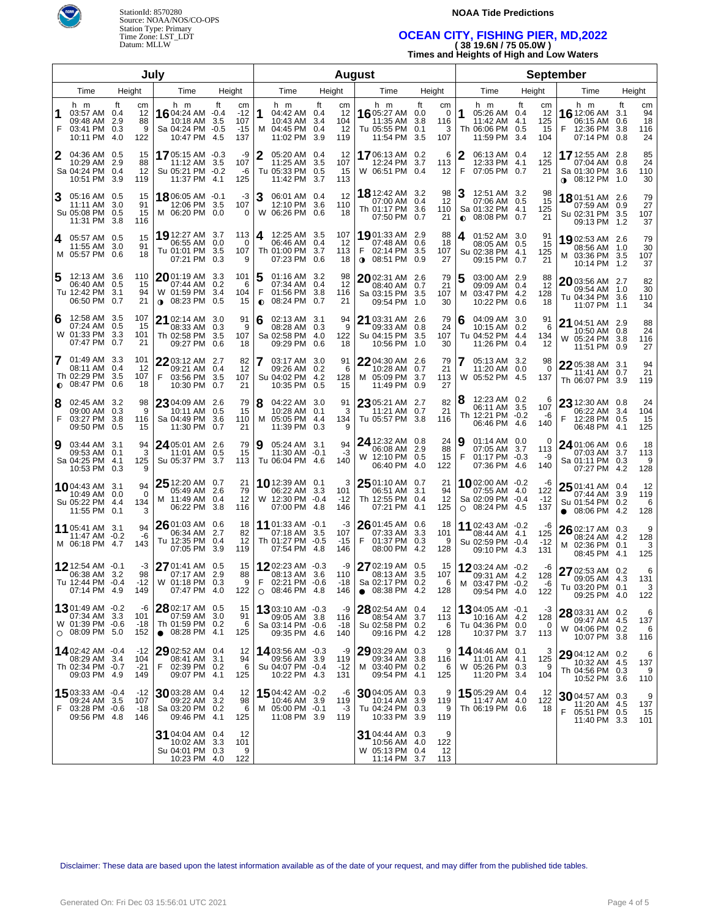

Source: NOAA/NOS/CO-OPS Station Type: Primary

### **NOAA Tide Predictions**

# Time Zone: LST\_LDT **OCEAN CITY, FISHING PIER, MD,2022**  Datum: MLLW **( 38 19.6N / 75 05.0W )**

**Times and Heights of High and Low Waters** 

|        |                                                                            |           |                              | July                                                                         |                                                                  | <b>August</b>       |                                                                            |           |                              |                                                                               |                  |                            |        | <b>September</b>                                                           |           |                              |                                                                                        |                         |                             |  |
|--------|----------------------------------------------------------------------------|-----------|------------------------------|------------------------------------------------------------------------------|------------------------------------------------------------------|---------------------|----------------------------------------------------------------------------|-----------|------------------------------|-------------------------------------------------------------------------------|------------------|----------------------------|--------|----------------------------------------------------------------------------|-----------|------------------------------|----------------------------------------------------------------------------------------|-------------------------|-----------------------------|--|
|        | Time                                                                       |           | Height                       | Time                                                                         | Height                                                           |                     | Time                                                                       |           | Height                       | Time                                                                          | Height           |                            |        | Time                                                                       |           | Height                       | Time                                                                                   |                         | Height                      |  |
| F      | h m<br>03:57 AM 0.4<br>09:48 AM 2.9<br>03:41 PM 0.3<br>10:11 PM            | ft<br>4.0 | cm<br>12<br>88<br>9<br>122   | h m<br>16 04:24 AM -0.4<br>10:18 AM<br>Sa 04:24 PM<br>10:47 PM               | ft<br>cm<br>$-12$<br>107<br>3.5<br>$-0.5$<br>$-15$<br>4.5<br>137 | M                   | h m<br>04:42 AM 0.4<br>10:43 AM 3.4<br>04:45 PM 0.4<br>11:02 PM            | ft<br>3.9 | cm<br>12<br>104<br>12<br>119 | h m<br>16 05:27 AM 0.0<br>11:35 AM<br>Tu 05:55 PM 0.1<br>11:54 PM             | ft<br>3.8<br>3.5 | cm<br>0<br>116<br>3<br>107 | 1      | h m<br>05:26 AM 0.4<br>11:42 AM 4.1<br>Th 06:06 PM 0.5<br>11:59 PM         | ft<br>3.4 | cm<br>12<br>125<br>15<br>104 | h m<br>16 12:06 AM<br>06:15 AM 0.6<br>F<br>12:36 PM<br>07:14 PM                        | ft<br>3.1<br>3.8<br>0.8 | cm<br>94<br>18<br>116<br>24 |  |
|        | 04:36 AM 0.5<br>10:29 AM 2.9<br>Sa 04:24 PM 0.4<br>10:51 PM 3.9            |           | 15<br>88<br>12<br>119        | 1705:15 AM -0.3<br>11:12 AM<br>Su 05:21 PM -0.2<br>11:37 PM 4.1              | -9<br>3.5<br>107<br>-6<br>125                                    | 2                   | 05:20 AM 0.4<br>11:25 AM 3.5<br>Tu 05:33 PM 0.5<br>11:42 PM 3.7            |           | 12<br>107<br>15<br>113       | 1706:13 AM 0.2<br>12:24 PM<br>W 06:51 PM 0.4                                  | 3.7              | 6<br>113<br>12             | F      | 06:13 AM 0.4<br>12:33 PM 4.1<br>07:05 PM 0.7                               |           | 12<br>125<br>21              | <b>17</b> 12:55 AM 2.8<br>07:04 AM 0.8<br>Sa 01:30 PM 3.6<br>08:12 PM 1.0<br>$\bullet$ |                         | 85<br>24<br>110<br>30       |  |
|        | 05:16 AM 0.5<br>11:11 AM 3.0<br>Su 05:08 PM 0.5<br>11:31 PM 3.8            |           | 15<br>91<br>15<br>116        | <b>18</b> 06:05 AM -0.1<br>12:06 PM 3.5<br>M 06:20 PM 0.0                    | -3<br>107<br>0                                                   | 3                   | 06:01 AM 0.4<br>12:10 PM 3.6<br>W 06:26 PM 0.6                             |           | 12<br>110<br>18              | <b>18</b> 12:42 AM 3.2<br>07:00 AM 0.4<br>Th 01:17 PM 3.6<br>07:50 PM 0.7     |                  | 98<br>12<br>110<br>21      | 3      | 12:51 AM 3.2<br>07:06 AM 0.5<br>Sa 01:32 PM 4.1<br>$\bullet$ 08:08 PM 0.7  |           | 98<br>15<br>125<br>21        | 1801:51 AM 2.6<br>07:59 AM 0.9<br>Su 02:31 PM 3.5<br>09:13 PM                          | 1.2                     | 79<br>27<br>107<br>37       |  |
| 4      | 05:57 AM 0.5<br>11:55 AM 3.0<br>M 05:57 PM 0.6                             |           | 15<br>91<br>18               | 19 12:27 AM 3.7<br>06:55 AM 0.0<br>Tu 01:01 PM 3.5<br>07:21 PM 0.3           | 113<br>0<br>107<br>9                                             | 4                   | 12:25 AM<br>06:46 AM 0.4<br>Th 01:00 PM 3.7<br>07:23 PM 0.6                | 3.5       | 107<br>12<br>113<br>18       | <b>19</b> 01:33 AM<br>07:48 AM<br>F<br>02:14 PM 3.5<br>$\bullet$ 08:51 PM 0.9 | 2.9<br>0.6       | 88<br>18<br>107<br>27      | 4      | 01:52 AM 3.0<br>08:05 AM 0.5<br>Su 02:38 PM 4.1<br>09:15 PM 0.7            |           | 91<br>15<br>125<br>21        | 1902:53 AM 2.6<br>08:56 AM 1.0<br>03:36 PM 3.5<br>M<br>10:14 PM                        | 1.2                     | 79<br>30<br>107<br>37       |  |
|        | 12:13 AM 3.6<br>06:40 AM 0.5<br>Tu 12:42 PM 3.1<br>06:50 PM 0.7            |           | 110<br>15<br>94<br>21        | $20$ 01:19 AM<br>07:44 AM<br>W 01:59 PM<br>$\bullet$ 08:23 PM 0.5            | 101<br>3.3<br>0.2<br>-6<br>3.4<br>104<br>15                      | 5<br>F<br>$\bullet$ | 01:16 AM<br>07:34 AM 0.4<br>01:56 PM 3.8<br>08:24 PM 0.7                   | 3.2       | 98<br>12<br>116<br>21        | 2002:31 AM 2.6<br>08:40 AM 0.7<br>Sa 03:15 PM 3.5<br>09:54 PM                 | 1.0              | 79<br>21<br>107<br>30      | 5<br>M | 03:00 AM 2.9<br>09:09 AM 0.4<br>03:47 PM 4.2<br>10:22 PM 0.6               |           | 88<br>12<br>128<br>18        | 2003:56 AM 2.7<br>09:54 AM 1.0<br>Tu 04:34 PM 3.6<br>11:07 PM 1.1                      |                         | 82<br>30<br>110<br>34       |  |
| 6      | 12:58 AM 3.5<br>07:24 AM 0.5<br>W 01:33 PM 3.3<br>07:47 PM 0.7             |           | 107<br>15<br>101<br>21       | 21 02:14 AM<br>08:33 AM 0.3<br>Th 02:58 PM<br>09:27 PM 0.6                   | 91<br>3.0<br>9<br>3.5<br>107<br>18                               | 6                   | 02:13 AM 3.1<br>08:28 AM 0.3<br>Sa 02:58 PM 4.0<br>09:29 PM 0.6            |           | 94<br>9<br>122<br>18         | 21 03:31 AM 2.6<br>09:33 AM 0.8<br>Su 04:15 PM<br>10:56 PM 1.0                | 3.5              | 79<br>24<br>107<br>30      | 6      | 04:09 AM 3.0<br>10:15 AM 0.2<br>Tu 04:52 PM 4.4<br>11:26 PM 0.4            |           | 91<br>6<br>134<br>12         | 21 04:51 AM 2.9<br>10:50 AM 0.8<br>W<br>05:24 PM 3.8<br>11:51 PM 0.9                   |                         | 88<br>24<br>116<br>27       |  |
| 7      | 01:49 AM 3.3<br>08:11 AM 0.4<br>Th 02:29 PM 3.5<br>$\bullet$ 08:47 PM 0.6  |           | 101<br>12<br>107<br>18       | 22 03:12 AM 2.7<br>09:21 AM 0.4<br>F<br>03:56 PM 3.5<br>10:30 PM             | 82<br>12<br>107<br>21<br>0.7                                     | 7                   | 03:17 AM 3.0<br>09:26 AM 0.2<br>Su 04:02 PM 4.2<br>10:35 PM 0.5            |           | 91<br>6<br>128<br>15         | 22 04:30 AM 2.6<br>10:28 AM 0.7<br>M 05:09 PM 3.7<br>11:49 PM 0.9             |                  | 79<br>21<br>113<br>27      | 7      | 05:13 AM 3.2<br>11:20 AM 0.0<br>W 05:52 PM 4.5                             |           | 98<br>0<br>137               | $2205:38$ AM 3.1<br>11:41 AM 0.7<br>Th 06:07 PM 3.9                                    |                         | 94<br>21<br>119             |  |
| 8<br>F | 02:45 AM 3.2<br>09:00 AM 0.3<br>03:27 PM 3.8<br>09:50 PM 0.5               |           | 98<br>9<br>116<br>15         | 23 04:09 AM 2.6<br>10:11 AM 0.5<br>Sa 04:49 PM<br>11:30 PM                   | 79<br>15<br>3.6<br>110<br>21<br>0.7                              | 8<br>M              | 04:22 AM 3.0<br>10:28 AM 0.1<br>05:05 PM 4.4<br>11:39 PM 0.3               |           | 91<br>3<br>134<br>9          | 23 05:21 AM 2.7<br>11:21 AM 0.7<br>Tu 05:57 PM 3.8                            |                  | 82<br>21<br>116            | 8      | 12:23 AM 0.2<br>06:11 AM 3.5<br>Th 12:21 PM -0.2<br>06:46 PM               | -4.6      | 6<br>107<br>-6<br>140        | 23 12:30 AM 0.8<br>06:22 AM 3.4<br>F<br>12:28 PM 0.5<br>06:48 PM 4.1                   |                         | 24<br>104<br>15<br>125      |  |
| 9      | 03:44 AM 3.1<br>09:53 AM 0.1<br>Sa 04:25 PM 4.1<br>10:53 PM 0.3            |           | 94<br>3<br>125               | $24$ 05:01 AM<br>11:01 AM<br>Su 05:37 PM 3.7                                 | 79<br>2.6<br>15<br>0.5<br>113                                    | 9                   | 05:24 AM 3.1<br>$11:30$ AM $-0.1$<br>Tu 06:04 PM 4.6                       |           | 94<br>-3<br>140              | 24 12:32 AM 0.8<br>06:08 AM 2.9<br>W 12:10 PM 0.5<br>06:40 PM                 | 4.0              | 24<br>88<br>15<br>122      | F      | 01:14 AM 0.0<br>07:05 AM 3.7<br>01:17 PM -0.3<br>07:36 PM                  | -4.6      | 0<br>113<br>-9<br>140        | 24 01:06 AM 0.6<br>07:03 AM 3.7<br>Sa 01:11 PM 0.3<br>07:27 PM 4.2                     |                         | 18<br>113<br>9<br>128       |  |
|        | 1004:43 AM 3.1<br>10:49 AM 0.0<br>Su 05:22 PM 4.4<br>11:55 PM 0.1          |           | 94<br>0<br>134<br>3          | 25 12:20 AM 0.7<br>05:49 AM 2.6<br>M 11:49 AM 0.4<br>06:22 PM                | 21<br>79<br>12<br>3.8<br>116                                     | W                   | <b>10</b> 12:39 AM 0.1<br>06:22 AM 3.3<br>12:30 PM -0.4<br>07:00 PM 4.8    |           | 3<br>101<br>$-12$<br>146     | $2501:10$ AM 0.7<br>06:51 AM 3.1<br>Th 12:55 PM 0.4<br>07:21 PM               | 4.1              | 21<br>94<br>12<br>125      |        | 10 02:00 AM $-0.2$<br>07:55 AM 4.0<br>Sa 02:09 PM -0.4<br>$O$ 08:24 PM 4.5 |           | -6<br>122<br>$-12$<br>137    | 25 01:41 AM 0.4<br>07:44 AM 3.9<br>Su 01:54 PM 0.2<br>$\bullet$ 08:06 PM 4.2           |                         | 12<br>119<br>6<br>128       |  |
|        | 11 05:41 AM 3.1<br>11:47 AM -0.2<br>M 06:18 PM 4.7                         |           | 94<br>-6<br>143              | 26 01:03 AM 0.6<br>06:34 AM<br>Tu 12:35 PM 0.4<br>07:05 PM                   | 18<br>82<br>2.7<br>12<br>3.9<br>119                              |                     | 11 01:33 AM $-0.1$<br>07:18 AM 3.5<br>Th 01:27 PM -0.5<br>07:54 PM         | 4.8       | -3<br>107<br>$-15$<br>146    | 26 01:45 AM 0.6<br>07:33 AM<br>F<br>01:37 PM 0.3<br>08:00 PM                  | 3.3<br>4.2       | 18<br>101<br>9<br>128      |        | 11 02:43 AM -0.2<br>08:44 AM 4.1<br>Su 02:59 PM -0.4<br>09:10 PM 4.3       |           | -6<br>125<br>$-12$<br>131    | 26 02:17 AM 0.3<br>08:24 AM 4.2<br>M 02:36 PM 0.1<br>08:45 PM 4.1                      |                         | 9<br>128<br>3<br>125        |  |
|        | 12 12:54 AM -0.1<br>06:38 AM 3.2<br>Tu 12:44 PM -0.4<br>07:14 PM 4.9       |           | -3<br>98<br>$-12$  <br>149   | <b>27</b> 01:41 AM 0.5<br>07:17 AM 2.9<br>W 01:18 PM 0.3<br>07:47 PM 4.0     | 15<br>88<br>9<br>122                                             | F                   | 1202:23 AM -0.3<br>08:13 AM 3.6<br>02:21 PM -0.6<br>$O$ 08:46 PM 4.8       |           | -9<br>110<br>-18  <br>146    | 27 02:19 AM 0.5<br>08:13 AM 3.5<br>Sa 02:17 PM 0.2<br>$\bullet$ 08:38 PM 4.2  |                  | 15<br>107<br>6<br>128      |        | 1203:24 AM -0.2<br>09:31 AM 4.2<br>M 03:47 PM -0.2<br>09:54 PM 4.0         |           | -6<br>128<br>-6<br>122       | 27 02:53 AM 0.2<br>09:05 AM 4.3<br>Tu 03:20 PM 0.1<br>09:25 PM 4.0                     |                         | 6<br>131<br>3<br>122        |  |
|        | 1301:49 AM -0.2<br>07:34 AM 3.3<br>W 01:39 PM -0.6<br>$O$ 08:09 PM 5.0     |           | -6<br>101<br>-18<br>152      | 28 02:17 AM 0.5<br>07:59 AM 3.0<br>Th 01:59 PM 0.2<br>$\bullet$ 08:28 PM 4.1 | 15<br>91<br>6<br>125                                             |                     | 1303:10 AM -0.3<br>09:05 AM 3.8<br>Sa 03:14 PM -0.6<br>09:35 PM 4.6        |           | -9<br>116<br>-18<br>140      | 28 02:54 AM 0.4<br>08:54 AM 3.7<br>Su 02:58 PM 0.2<br>09:16 PM 4.2            |                  | 12<br>113<br>6<br>128      |        | 1304:05 AM -0.1<br>10:16 AM 4.2<br>Tu 04:36 PM 0.0<br>10:37 PM 3.7         |           | -3<br>128<br>0<br>113        | 28 03:31 AM 0.2<br>09:47 AM 4.5<br>W 04:06 PM 0.2<br>10:07 PM 3.8                      |                         | 6<br>137<br>6<br>116        |  |
|        | 1402:42 AM -0.4<br>08:29 AM 3.4<br>Th 02:34 PM -0.7<br>09:03 PM 4.9        |           | $-12$<br>104<br>$-21$<br>149 | 29 02:52 AM 0.4<br>08:41 AM 3.1<br>F<br>02:39 PM 0.2<br>09:07 PM 4.1         | 12<br>94<br>6<br>125                                             |                     | 1403:56 AM -0.3<br>09:56 AM 3.9<br>Su 04:07 PM -0.4<br>10:22 PM 4.3        |           | -9<br>119<br>$-12$<br>131    | 29 03:29 AM 0.3<br>09:34 AM 3.8<br>M 03:40 PM 0.2<br>09:54 PM 4.1             |                  | 9<br>116<br>6<br>125       |        | 14 04:46 AM 0.1<br>11:01 AM 4.1<br>W 05:26 PM 0.3<br>11:20 PM 3.4          |           | 125<br>9<br>104              | 29 04:12 AM 0.2<br>10:32 AM 4.5<br>Th 04:56 PM 0.3<br>10:52 PM 3.6                     |                         | 6<br>137<br>9<br>110        |  |
| F      | <b>15</b> 03:33 AM $-0.4$<br>09:24 AM 3.5<br>03:28 PM -0.6<br>09:56 PM 4.8 |           | -12<br>107<br>-18<br>146     | $30$ 03:28 AM 0.4<br>09:22 AM 3.2<br>Sa 03:20 PM 0.2<br>09:46 PM 4.1         | 12<br>98<br>6<br>125                                             | м                   | <b>15</b> 04:42 AM $-0.2$<br>10:46 AM 3.9<br>05:00 PM -0.1<br>11:08 PM 3.9 |           | -6<br>119<br>-3<br>119       | 30 04:05 AM 0.3<br>10:14 AM 3.9<br>Tu 04:24 PM 0.3<br>10:33 PM 3.9            |                  | 9<br>119<br>9<br>119       |        | 15 05:29 AM 0.4<br>11:47 AM 4.0<br>Th 06:19 PM 0.6                         |           | 12<br>122<br>18              | 30 04:57 AM 0.3<br>11:20 AM 4.5<br>F 05:51 PM 0.5<br>11:40 PM 3.3                      |                         | 9<br>137<br>15<br>101       |  |
|        |                                                                            |           |                              | 31 04:04 AM 0.4<br>10:02 AM<br>Su 04:01 PM 0.3<br>10:23 PM 4.0               | 12<br>3.3<br>101<br>9<br>122                                     |                     |                                                                            |           |                              | 31 04:44 AM 0.3<br>10:56 AM 4.0<br>W 05:13 PM 0.4<br>11:14 PM 3.7             |                  | 9<br>122<br>12<br>113      |        |                                                                            |           |                              |                                                                                        |                         |                             |  |